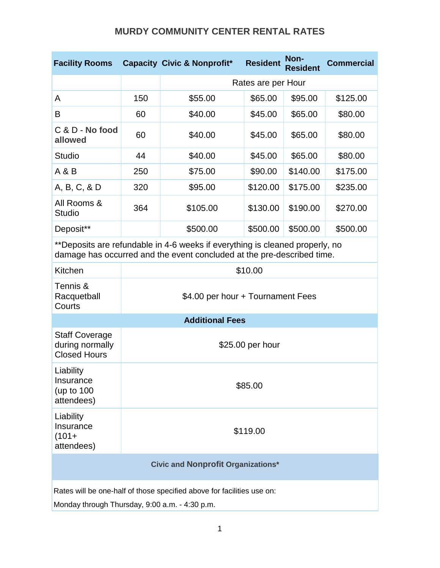## **MURDY COMMUNITY CENTER RENTAL RATES**

| <b>Facility Rooms</b>                                                                                                                                  |                                   | <b>Capacity Civic &amp; Nonprofit*</b> | <b>Resident</b> | Non-<br><b>Resident</b> | <b>Commercial</b> |  |
|--------------------------------------------------------------------------------------------------------------------------------------------------------|-----------------------------------|----------------------------------------|-----------------|-------------------------|-------------------|--|
|                                                                                                                                                        |                                   | Rates are per Hour                     |                 |                         |                   |  |
| A                                                                                                                                                      | 150                               | \$55.00                                | \$65.00         | \$95.00                 | \$125.00          |  |
| B                                                                                                                                                      | 60                                | \$40.00                                | \$45.00         | \$65.00                 | \$80.00           |  |
| C & D - No food<br>allowed                                                                                                                             | 60                                | \$40.00                                | \$45.00         | \$65.00                 | \$80.00           |  |
| <b>Studio</b>                                                                                                                                          | 44                                | \$40.00                                | \$45.00         | \$65.00                 | \$80.00           |  |
| A & B                                                                                                                                                  | 250                               | \$75.00                                | \$90.00         | \$140.00                | \$175.00          |  |
| A, B, C, & D                                                                                                                                           | 320                               | \$95.00                                | \$120.00        | \$175.00                | \$235.00          |  |
| All Rooms &<br><b>Studio</b>                                                                                                                           | 364                               | \$105.00                               | \$130.00        | \$190.00                | \$270.00          |  |
| Deposit**                                                                                                                                              |                                   | \$500.00                               | \$500.00        | \$500.00                | \$500.00          |  |
| **Deposits are refundable in 4-6 weeks if everything is cleaned properly, no<br>damage has occurred and the event concluded at the pre-described time. |                                   |                                        |                 |                         |                   |  |
| Kitchen                                                                                                                                                | \$10.00                           |                                        |                 |                         |                   |  |
| Tennis &<br>Racquetball<br>Courts                                                                                                                      | \$4.00 per hour + Tournament Fees |                                        |                 |                         |                   |  |
| <b>Additional Fees</b>                                                                                                                                 |                                   |                                        |                 |                         |                   |  |
| <b>Staff Coverage</b><br>during normally<br><b>Closed Hours</b>                                                                                        | \$25.00 per hour                  |                                        |                 |                         |                   |  |
| Liability<br>Insurance<br>(up to 100<br>attendees)                                                                                                     | \$85.00                           |                                        |                 |                         |                   |  |
| Liability<br>Insurance<br>$(101 +$<br>attendees)                                                                                                       | \$119.00                          |                                        |                 |                         |                   |  |
| <b>Civic and Nonprofit Organizations*</b>                                                                                                              |                                   |                                        |                 |                         |                   |  |
| Rates will be one-half of those specified above for facilities use on:<br>Monday through Thursday, 9:00 a.m. - 4:30 p.m.                               |                                   |                                        |                 |                         |                   |  |